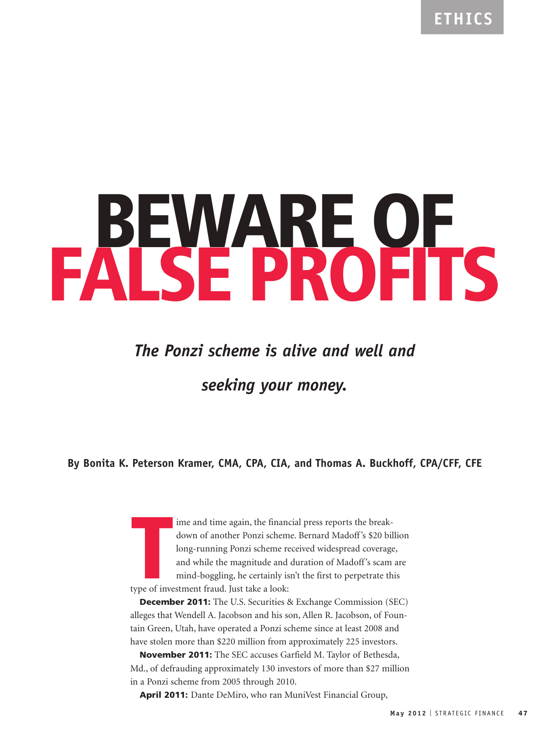# **BEWARE OF FALSE PROFITS**

# *The Ponzi scheme is alive and well and*

*seeking your money.*

**By Bonita K. Peterson Kramer, CMA, CPA, CIA, and Thomas A. Buckhoff, CPA/CFF, CFE**

**THE SERVIE CALLER 1999 ISSUED SERVIET SCHEF**<br> **THE SERVIET SCHEF**<br>
Iong-running Ponzi scheme re<br>
and while the magnitude and<br>
mind-boggling, he certainly is<br>
type of investment fraud. Just take a look: ime and time again, the financial press reports the breakdown of another Ponzi scheme. Bernard Madoff's \$20 billion long-running Ponzi scheme received widespread coverage, and while the magnitude and duration of Madoff's scam are mind-boggling, he certainly isn't the first to perpetrate this

**December 2011:** The U.S. Securities & Exchange Commission (SEC) alleges that Wendell A. Jacobson and his son, Allen R. Jacobson, of Fountain Green, Utah, have operated a Ponzi scheme since at least 2008 and have stolen more than \$220 million from approximately 225 investors.

**November 2011:** The SEC accuses Garfield M. Taylor of Bethesda, Md., of defrauding approximately 130 investors of more than \$27 million in a Ponzi scheme from 2005 through 2010.

**April 2011:** Dante DeMiro, who ran MuniVest Financial Group,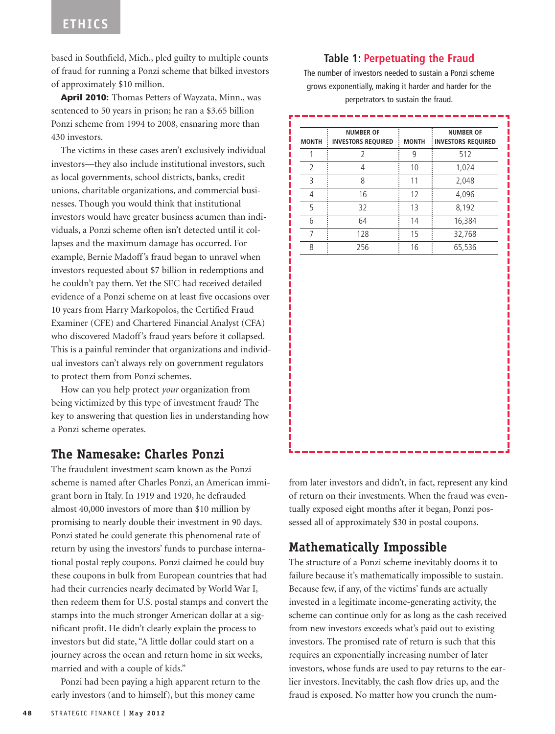based in Southfield, Mich., pled guilty to multiple counts of fraud for running a Ponzi scheme that bilked investors of approximately \$10 million.

**April 2010:** Thomas Petters of Wayzata, Minn., was sentenced to 50 years in prison; he ran a \$3.65 billion Ponzi scheme from 1994 to 2008, ensnaring more than 430 investors.

The victims in these cases aren't exclusively individual investors—they also include institutional investors, such as local governments, school districts, banks, credit unions, charitable organizations, and commercial businesses. Though you would think that institutional investors would have greater business acumen than individuals, a Ponzi scheme often isn't detected until it collapses and the maximum damage has occurred. For example, Bernie Madoff's fraud began to unravel when investors requested about \$7 billion in redemptions and he couldn't pay them. Yet the SEC had received detailed evidence of a Ponzi scheme on at least five occasions over 10 years from Harry Markopolos, the Certified Fraud Examiner (CFE) and Chartered Financial Analyst (CFA) who discovered Madoff's fraud years before it collapsed. This is a painful reminder that organizations and individual investors can't always rely on government regulators to protect them from Ponzi schemes.

How can you help protect *your* organization from being victimized by this type of investment fraud? The key to answering that question lies in understanding how a Ponzi scheme operates.

#### **The Namesake: Charles Ponzi**

The fraudulent investment scam known as the Ponzi scheme is named after Charles Ponzi, an American immigrant born in Italy. In 1919 and 1920, he defrauded almost 40,000 investors of more than \$10 million by promising to nearly double their investment in 90 days. Ponzi stated he could generate this phenomenal rate of return by using the investors' funds to purchase international postal reply coupons. Ponzi claimed he could buy these coupons in bulk from European countries that had had their currencies nearly decimated by World War I, then redeem them for U.S. postal stamps and convert the stamps into the much stronger American dollar at a significant profit. He didn't clearly explain the process to investors but did state, "A little dollar could start on a journey across the ocean and return home in six weeks, married and with a couple of kids."

Ponzi had been paying a high apparent return to the early investors (and to himself), but this money came

#### **Table 1: Perpetuating the Fraud**

The number of investors needed to sustain a Ponzi scheme grows exponentially, making it harder and harder for the perpetrators to sustain the fraud.

| <b>MONTH</b>   | <b>NUMBER OF</b><br><b>INVESTORS REQUIRED</b> | <b>MONTH</b> | <b>NUMBER OF</b><br><b>INVESTORS REQUIRED</b> |
|----------------|-----------------------------------------------|--------------|-----------------------------------------------|
| $\mathbf 1$    | $\overline{2}$                                | 9            | 512                                           |
| $\overline{2}$ | $\overline{4}$                                | 10           | 1,024                                         |
| 3              | 8                                             | 11           | 2,048                                         |
| $\overline{4}$ | 16                                            | 12           | 4,096                                         |
| 5              | 32                                            | 13           | 8,192                                         |
| 6              | 64                                            | 14           | 16,384                                        |
| $\overline{7}$ | 128                                           | 15           | 32,768                                        |
| 8              | 256                                           | 16           | 65,536                                        |
|                |                                               |              |                                               |
|                |                                               |              |                                               |

from later investors and didn't, in fact, represent any kind of return on their investments. When the fraud was eventually exposed eight months after it began, Ponzi possessed all of approximately \$30 in postal coupons.

#### **Mathematically Impossible**

The structure of a Ponzi scheme inevitably dooms it to failure because it's mathematically impossible to sustain. Because few, if any, of the victims' funds are actually invested in a legitimate income-generating activity, the scheme can continue only for as long as the cash received from new investors exceeds what's paid out to existing investors. The promised rate of return is such that this requires an exponentially increasing number of later investors, whose funds are used to pay returns to the earlier investors. Inevitably, the cash flow dries up, and the fraud is exposed. No matter how you crunch the num-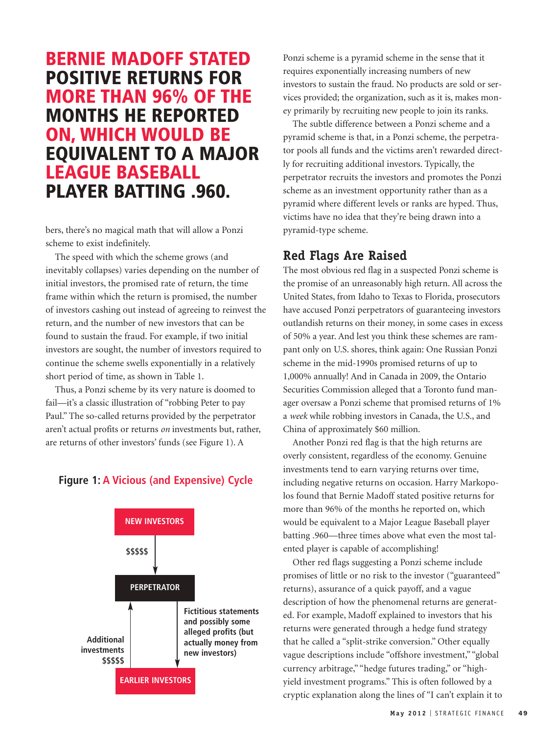## **BERNIE MADOFF STATED POSITIVE RETURNS FOR MORE THAN 96% OF THE MONTHS HE REPORTED ON, WHICH WOULD BE EQUIVALENT TO A MAJOR LEAGUE BASEBALL PLAYER BATTING .960.**

bers, there's no magical math that will allow a Ponzi scheme to exist indefinitely.

The speed with which the scheme grows (and inevitably collapses) varies depending on the number of initial investors, the promised rate of return, the time frame within which the return is promised, the number of investors cashing out instead of agreeing to reinvest the return, and the number of new investors that can be found to sustain the fraud. For example, if two initial investors are sought, the number of investors required to continue the scheme swells exponentially in a relatively short period of time, as shown in Table 1.

Thus, a Ponzi scheme by its very nature is doomed to fail—it's a classic illustration of "robbing Peter to pay Paul." The so-called returns provided by the perpetrator aren't actual profits or returns *on* investments but, rather, are returns of other investors' funds (see Figure 1). A

#### **Figure 1: A Vicious (and Expensive) Cycle**



Ponzi scheme is a pyramid scheme in the sense that it requires exponentially increasing numbers of new investors to sustain the fraud. No products are sold or services provided; the organization, such as it is, makes money primarily by recruiting new people to join its ranks.

The subtle difference between a Ponzi scheme and a pyramid scheme is that, in a Ponzi scheme, the perpetrator pools all funds and the victims aren't rewarded directly for recruiting additional investors. Typically, the perpetrator recruits the investors and promotes the Ponzi scheme as an investment opportunity rather than as a pyramid where different levels or ranks are hyped. Thus, victims have no idea that they're being drawn into a pyramid-type scheme.

#### **Red Flags Are Raised**

The most obvious red flag in a suspected Ponzi scheme is the promise of an unreasonably high return. All across the United States, from Idaho to Texas to Florida, prosecutors have accused Ponzi perpetrators of guaranteeing investors outlandish returns on their money, in some cases in excess of 50% a year. And lest you think these schemes are rampant only on U.S. shores, think again: One Russian Ponzi scheme in the mid-1990s promised returns of up to 1,000% annually! And in Canada in 2009, the Ontario Securities Commission alleged that a Toronto fund manager oversaw a Ponzi scheme that promised returns of 1% a *week* while robbing investors in Canada, the U.S., and China of approximately \$60 million.

Another Ponzi red flag is that the high returns are overly consistent, regardless of the economy. Genuine investments tend to earn varying returns over time, including negative returns on occasion. Harry Markopolos found that Bernie Madoff stated positive returns for more than 96% of the months he reported on, which would be equivalent to a Major League Baseball player batting .960—three times above what even the most talented player is capable of accomplishing!

Other red flags suggesting a Ponzi scheme include promises of little or no risk to the investor ("guaranteed" returns), assurance of a quick payoff, and a vague description of how the phenomenal returns are generated. For example, Madoff explained to investors that his returns were generated through a hedge fund strategy that he called a "split-strike conversion." Other equally vague descriptions include "offshore investment," "global currency arbitrage," "hedge futures trading," or "highyield investment programs." This is often followed by a cryptic explanation along the lines of "I can't explain it to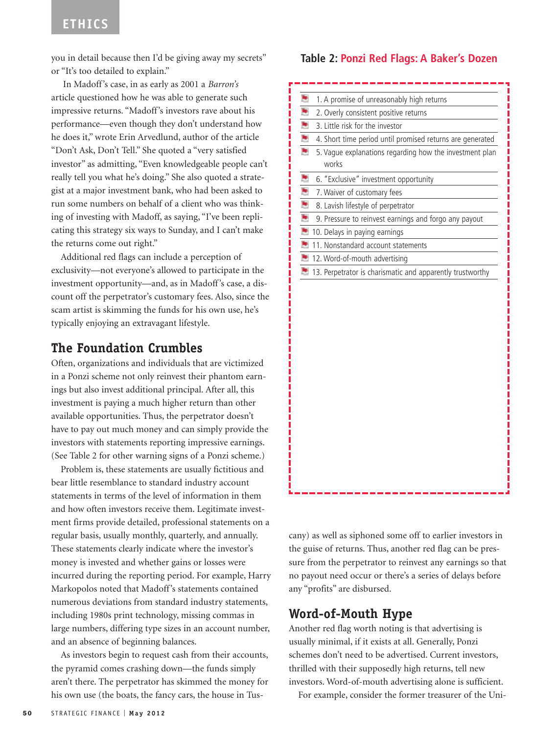you in detail because then I'd be giving away my secrets" or "It's too detailed to explain."

In Madoff's case, in as early as 2001 a *Barron's* article questioned how he was able to generate such impressive returns. "Madoff's investors rave about his performance—even though they don't understand how he does it," wrote Erin Arvedlund, author of the article "Don't Ask, Don't Tell." She quoted a "very satisfied investor" as admitting, "Even knowledgeable people can't really tell you what he's doing." She also quoted a strategist at a major investment bank, who had been asked to run some numbers on behalf of a client who was thinking of investing with Madoff, as saying, "I've been replicating this strategy six ways to Sunday, and I can't make the returns come out right."

Additional red flags can include a perception of exclusivity—not everyone's allowed to participate in the investment opportunity—and, as in Madoff's case, a discount off the perpetrator's customary fees. Also, since the scam artist is skimming the funds for his own use, he's typically enjoying an extravagant lifestyle.

#### **The Foundation Crumbles**

Often, organizations and individuals that are victimized in a Ponzi scheme not only reinvest their phantom earnings but also invest additional principal. After all, this investment is paying a much higher return than other available opportunities. Thus, the perpetrator doesn't have to pay out much money and can simply provide the investors with statements reporting impressive earnings. (See Table 2 for other warning signs of a Ponzi scheme.)

Problem is, these statements are usually fictitious and bear little resemblance to standard industry account statements in terms of the level of information in them and how often investors receive them. Legitimate investment firms provide detailed, professional statements on a regular basis, usually monthly, quarterly, and annually. These statements clearly indicate where the investor's money is invested and whether gains or losses were incurred during the reporting period. For example, Harry Markopolos noted that Madoff's statements contained numerous deviations from standard industry statements, including 1980s print technology, missing commas in large numbers, differing type sizes in an account number, and an absence of beginning balances.

As investors begin to request cash from their accounts, the pyramid comes crashing down—the funds simply aren't there. The perpetrator has skimmed the money for his own use (the boats, the fancy cars, the house in Tus-

#### **Table 2: Ponzi Red Flags: A Baker's Dozen**

| ۳<br>1. A promise of unreasonably high returns                        |
|-----------------------------------------------------------------------|
| ۳<br>2. Overly consistent positive returns                            |
| ۳<br>3. Little risk for the investor                                  |
| P<br>4. Short time period until promised returns are generated        |
| ۳<br>5. Vague explanations regarding how the investment plan<br>works |
| ۳<br>6. "Exclusive" investment opportunity                            |
| ۳<br>7. Waiver of customary fees                                      |
| ۳<br>8. Lavish lifestyle of perpetrator                               |
| ۳<br>9. Pressure to reinvest earnings and forgo any payout            |
| ۳<br>10. Delays in paying earnings                                    |
| ۳<br>11. Nonstandard account statements                               |
| ۳<br>12. Word-of-mouth advertising                                    |
| ۳<br>13. Perpetrator is charismatic and apparently trustworthy        |
|                                                                       |
|                                                                       |

cany) as well as siphoned some off to earlier investors in the guise of returns. Thus, another red flag can be pressure from the perpetrator to reinvest any earnings so that no payout need occur or there's a series of delays before any "profits" are disbursed.

#### **Word-of-Mouth Hype**

Another red flag worth noting is that advertising is usually minimal, if it exists at all. Generally, Ponzi schemes don't need to be advertised. Current investors, thrilled with their supposedly high returns, tell new investors. Word-of-mouth advertising alone is sufficient.

For example, consider the former treasurer of the Uni-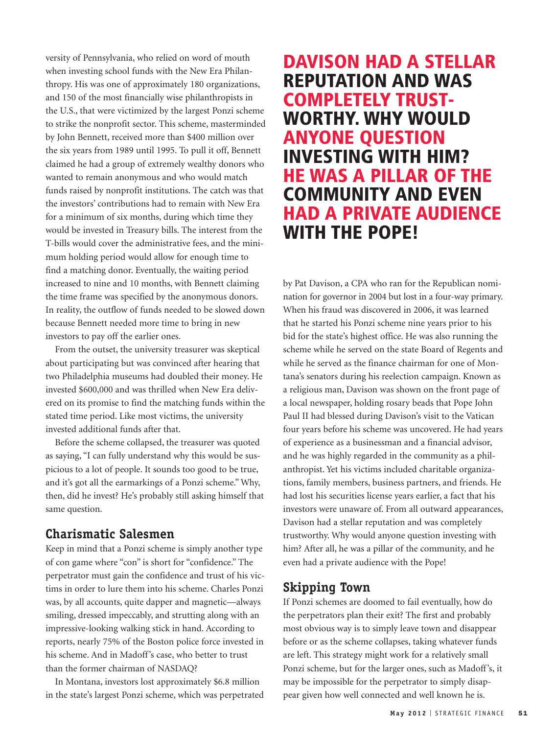versity of Pennsylvania, who relied on word of mouth when investing school funds with the New Era Philanthropy. His was one of approximately 180 organizations, and 150 of the most financially wise philanthropists in the U.S., that were victimized by the largest Ponzi scheme to strike the nonprofit sector. This scheme, masterminded by John Bennett, received more than \$400 million over the six years from 1989 until 1995. To pull it off, Bennett claimed he had a group of extremely wealthy donors who wanted to remain anonymous and who would match funds raised by nonprofit institutions. The catch was that the investors' contributions had to remain with New Era for a minimum of six months, during which time they would be invested in Treasury bills. The interest from the T-bills would cover the administrative fees, and the minimum holding period would allow for enough time to find a matching donor. Eventually, the waiting period increased to nine and 10 months, with Bennett claiming the time frame was specified by the anonymous donors. In reality, the outflow of funds needed to be slowed down because Bennett needed more time to bring in new investors to pay off the earlier ones.

From the outset, the university treasurer was skeptical about participating but was convinced after hearing that two Philadelphia museums had doubled their money. He invested \$600,000 and was thrilled when New Era delivered on its promise to find the matching funds within the stated time period. Like most victims, the university invested additional funds after that.

Before the scheme collapsed, the treasurer was quoted as saying, "I can fully understand why this would be suspicious to a lot of people. It sounds too good to be true, and it's got all the earmarkings of a Ponzi scheme." Why, then, did he invest? He's probably still asking himself that same question.

#### **Charismatic Salesmen**

Keep in mind that a Ponzi scheme is simply another type of con game where "con" is short for "confidence." The perpetrator must gain the confidence and trust of his victims in order to lure them into his scheme. Charles Ponzi was, by all accounts, quite dapper and magnetic—always smiling, dressed impeccably, and strutting along with an impressive-looking walking stick in hand. According to reports, nearly 75% of the Boston police force invested in his scheme. And in Madoff's case, who better to trust than the former chairman of NASDAQ?

In Montana, investors lost approximately \$6.8 million in the state's largest Ponzi scheme, which was perpetrated

### **DAVISON HAD A STELLAR REPUTATION AND WAS COMPLETELY TRUST-WORTHY. WHY WOULD ANYONE QUESTION INVESTING WITH HIM? HE WAS A PILLAR OF THE COMMUNITY AND EVEN HAD A PRIVATE AUDIENCE WITH THE POPE!**

by Pat Davison, a CPA who ran for the Republican nomination for governor in 2004 but lost in a four-way primary. When his fraud was discovered in 2006, it was learned that he started his Ponzi scheme nine years prior to his bid for the state's highest office. He was also running the scheme while he served on the state Board of Regents and while he served as the finance chairman for one of Montana's senators during his reelection campaign. Known as a religious man, Davison was shown on the front page of a local newspaper, holding rosary beads that Pope John Paul II had blessed during Davison's visit to the Vatican four years before his scheme was uncovered. He had years of experience as a businessman and a financial advisor, and he was highly regarded in the community as a philanthropist. Yet his victims included charitable organizations, family members, business partners, and friends. He had lost his securities license years earlier, a fact that his investors were unaware of. From all outward appearances, Davison had a stellar reputation and was completely trustworthy. Why would anyone question investing with him? After all, he was a pillar of the community, and he even had a private audience with the Pope!

#### **Skipping Town**

If Ponzi schemes are doomed to fail eventually, how do the perpetrators plan their exit? The first and probably most obvious way is to simply leave town and disappear before or as the scheme collapses, taking whatever funds are left. This strategy might work for a relatively small Ponzi scheme, but for the larger ones, such as Madoff's, it may be impossible for the perpetrator to simply disappear given how well connected and well known he is.